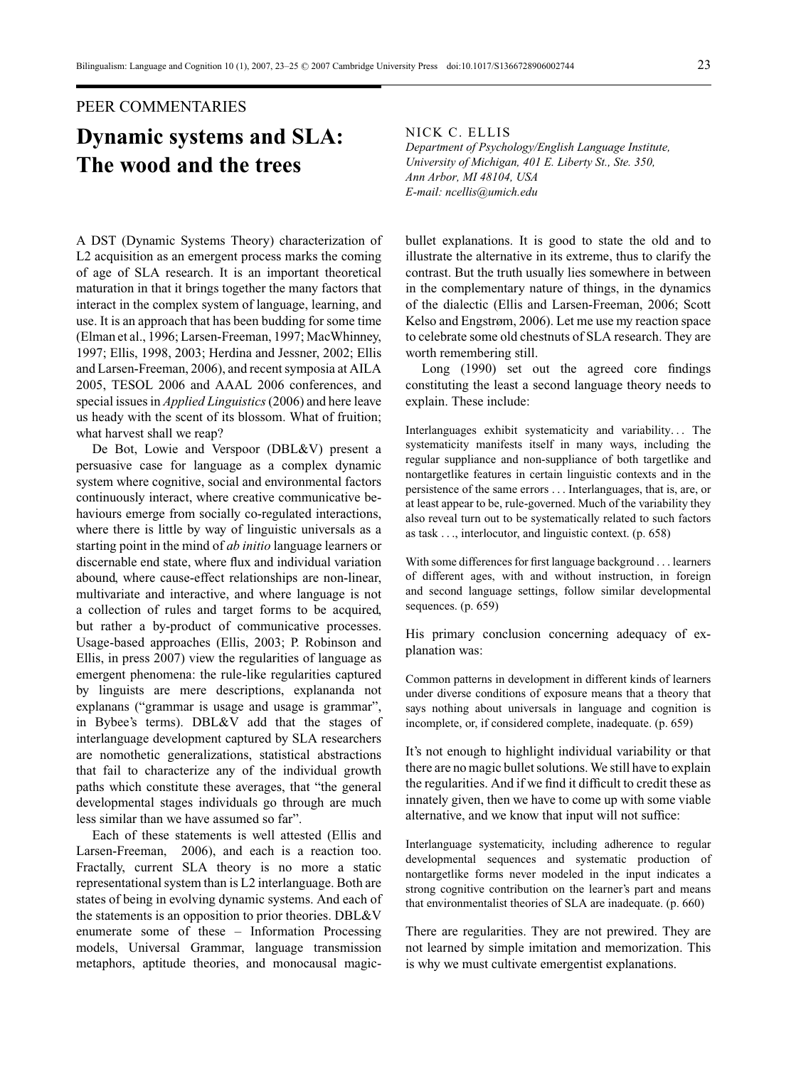## PEER COMMENTARIES

## **Dynamic systems and SLA: The wood and the trees**

A DST (Dynamic Systems Theory) characterization of L2 acquisition as an emergent process marks the coming of age of SLA research. It is an important theoretical maturation in that it brings together the many factors that interact in the complex system of language, learning, and use. It is an approach that has been budding for some time (Elman et al., 1996; Larsen-Freeman, 1997; MacWhinney, 1997; Ellis, 1998, 2003; Herdina and Jessner, 2002; Ellis and Larsen-Freeman, 2006), and recent symposia at AILA 2005, TESOL 2006 and AAAL 2006 conferences, and special issues in *Applied Linguistics*(2006) and here leave us heady with the scent of its blossom. What of fruition; what harvest shall we reap?

De Bot, Lowie and Verspoor (DBL&V) present a persuasive case for language as a complex dynamic system where cognitive, social and environmental factors continuously interact, where creative communicative behaviours emerge from socially co-regulated interactions, where there is little by way of linguistic universals as a starting point in the mind of *ab initio* language learners or discernable end state, where flux and individual variation abound, where cause-effect relationships are non-linear, multivariate and interactive, and where language is not a collection of rules and target forms to be acquired, but rather a by-product of communicative processes. Usage-based approaches (Ellis, 2003; P. Robinson and Ellis, in press 2007) view the regularities of language as emergent phenomena: the rule-like regularities captured by linguists are mere descriptions, explananda not explanans ("grammar is usage and usage is grammar", in Bybee's terms). DBL&V add that the stages of interlanguage development captured by SLA researchers are nomothetic generalizations, statistical abstractions that fail to characterize any of the individual growth paths which constitute these averages, that "the general developmental stages individuals go through are much less similar than we have assumed so far".

Each of these statements is well attested (Ellis and Larsen-Freeman, 2006), and each is a reaction too. Fractally, current SLA theory is no more a static representational system than is L2 interlanguage. Both are states of being in evolving dynamic systems. And each of the statements is an opposition to prior theories. DBL&V enumerate some of these – Information Processing models, Universal Grammar, language transmission metaphors, aptitude theories, and monocausal magicNICK C. ELLIS

*Department of Psychology/English Language Institute, University of Michigan, 401 E. Liberty St., Ste. 350, Ann Arbor, MI 48104, USA E-mail: ncellis@umich.edu*

bullet explanations. It is good to state the old and to illustrate the alternative in its extreme, thus to clarify the contrast. But the truth usually lies somewhere in between in the complementary nature of things, in the dynamics of the dialectic (Ellis and Larsen-Freeman, 2006; Scott Kelso and Engstrøm, 2006). Let me use my reaction space to celebrate some old chestnuts of SLA research. They are worth remembering still.

Long (1990) set out the agreed core findings constituting the least a second language theory needs to explain. These include:

Interlanguages exhibit systematicity and variability*...* The systematicity manifests itself in many ways, including the regular suppliance and non-suppliance of both targetlike and nontargetlike features in certain linguistic contexts and in the persistence of the same errors *...* Interlanguages, that is, are, or at least appear to be, rule-governed. Much of the variability they also reveal turn out to be systematically related to such factors as task *...*, interlocutor, and linguistic context. (p. 658)

With some differences for first language background *...* learners of different ages, with and without instruction, in foreign and second language settings, follow similar developmental sequences. (p. 659)

His primary conclusion concerning adequacy of explanation was:

Common patterns in development in different kinds of learners under diverse conditions of exposure means that a theory that says nothing about universals in language and cognition is incomplete, or, if considered complete, inadequate. (p. 659)

It's not enough to highlight individual variability or that there are no magic bullet solutions. We still have to explain the regularities. And if we find it difficult to credit these as innately given, then we have to come up with some viable alternative, and we know that input will not suffice:

Interlanguage systematicity, including adherence to regular developmental sequences and systematic production of nontargetlike forms never modeled in the input indicates a strong cognitive contribution on the learner's part and means that environmentalist theories of SLA are inadequate. (p. 660)

There are regularities. They are not prewired. They are not learned by simple imitation and memorization. This is why we must cultivate emergentist explanations.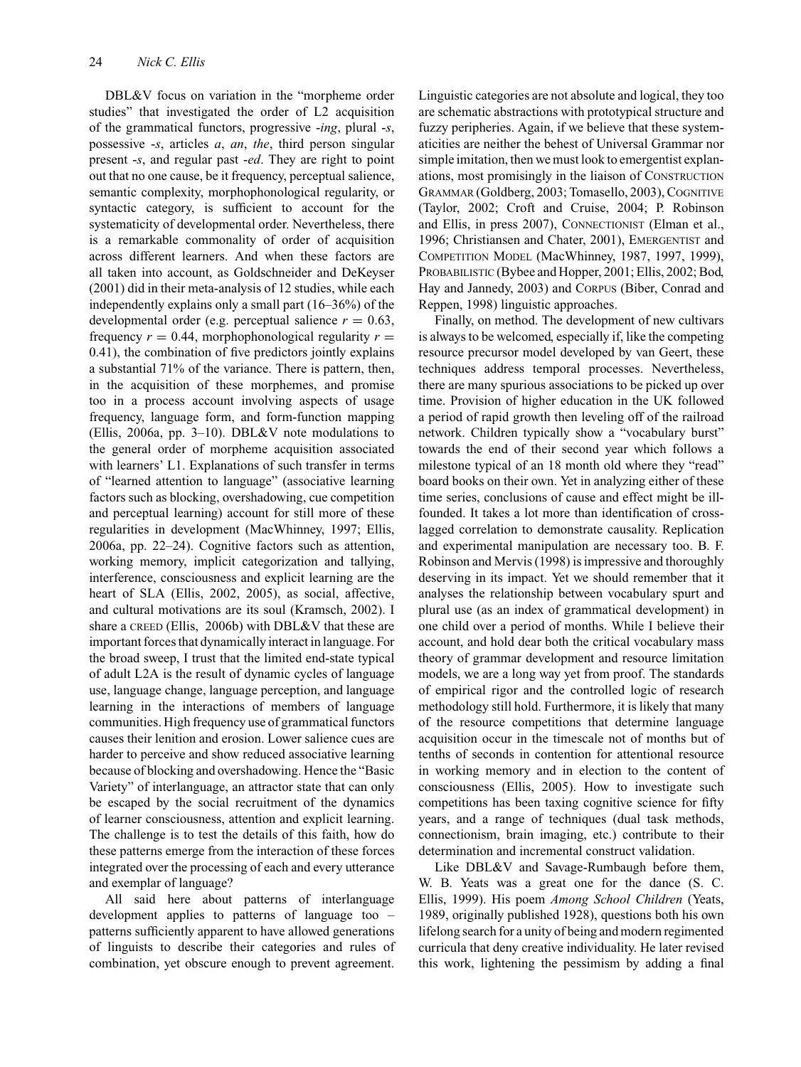DBL&V focus on variation in the "morpheme order studies" that investigated the order of L2 acquisition of the grammatical functors, progressive -*ing*, plural -*s*, possessive -*s*, articles *a*, *an*, *the*, third person singular present -*s*, and regular past -*ed*. They are right to point out that no one cause, be it frequency, perceptual salience, semantic complexity, morphophonological regularity, or syntactic category, is sufficient to account for the systematicity of developmental order. Nevertheless, there is a remarkable commonality of order of acquisition across different learners. And when these factors are all taken into account, as Goldschneider and DeKeyser (2001) did in their meta-analysis of 12 studies, while each independently explains only a small part (16–36%) of the developmental order (e.g. perceptual salience  $r = 0.63$ , frequency  $r = 0.44$ , morphophonological regularity  $r =$ 0.41), the combination of five predictors jointly explains a substantial 71% of the variance. There is pattern, then, in the acquisition of these morphemes, and promise too in a process account involving aspects of usage frequency, language form, and form-function mapping (Ellis, 2006a, pp. 3–10). DBL&V note modulations to the general order of morpheme acquisition associated with learners' L1. Explanations of such transfer in terms of "learned attention to language" (associative learning factors such as blocking, overshadowing, cue competition and perceptual learning) account for still more of these regularities in development (MacWhinney, 1997; Ellis, 2006a, pp. 22–24). Cognitive factors such as attention, working memory, implicit categorization and tallying, interference, consciousness and explicit learning are the heart of SLA (Ellis, 2002, 2005), as social, affective, and cultural motivations are its soul (Kramsch, 2002). I share a CREED (Ellis, 2006b) with DBL&V that these are important forces that dynamically interact in language. For the broad sweep, I trust that the limited end-state typical of adult L2A is the result of dynamic cycles of language use, language change, language perception, and language learning in the interactions of members of language communities. High frequency use of grammatical functors causes their lenition and erosion. Lower salience cues are harder to perceive and show reduced associative learning because of blocking and overshadowing. Hence the "Basic Variety" of interlanguage, an attractor state that can only be escaped by the social recruitment of the dynamics of learner consciousness, attention and explicit learning. The challenge is to test the details of this faith, how do these patterns emerge from the interaction of these forces integrated over the processing of each and every utterance and exemplar of language?

All said here about patterns of interlanguage development applies to patterns of language too – patterns sufficiently apparent to have allowed generations of linguists to describe their categories and rules of combination, yet obscure enough to prevent agreement. Linguistic categories are not absolute and logical, they too are schematic abstractions with prototypical structure and fuzzy peripheries. Again, if we believe that these systematicities are neither the behest of Universal Grammar nor simple imitation, then we must look to emergentist explanations, most promisingly in the liaison of CONSTRUCTION GRAMMAR (Goldberg, 2003; Tomasello, 2003), COGNITIVE (Taylor, 2002; Croft and Cruise, 2004; P. Robinson and Ellis, in press 2007), CONNECTIONIST (Elman et al., 1996; Christiansen and Chater, 2001), EMERGENTIST and COMPETITION MODEL (MacWhinney, 1987, 1997, 1999), PROBABILISTIC (Bybee and Hopper, 2001; Ellis, 2002; Bod, Hay and Jannedy, 2003) and CORPUS (Biber, Conrad and Reppen, 1998) linguistic approaches.

Finally, on method. The development of new cultivars is always to be welcomed, especially if, like the competing resource precursor model developed by van Geert, these techniques address temporal processes. Nevertheless, there are many spurious associations to be picked up over time. Provision of higher education in the UK followed a period of rapid growth then leveling off of the railroad network. Children typically show a "vocabulary burst" towards the end of their second year which follows a milestone typical of an 18 month old where they "read" board books on their own. Yet in analyzing either of these time series, conclusions of cause and effect might be illfounded. It takes a lot more than identification of crosslagged correlation to demonstrate causality. Replication and experimental manipulation are necessary too. B. F. Robinson and Mervis (1998) is impressive and thoroughly deserving in its impact. Yet we should remember that it analyses the relationship between vocabulary spurt and plural use (as an index of grammatical development) in one child over a period of months. While I believe their account, and hold dear both the critical vocabulary mass theory of grammar development and resource limitation models, we are a long way yet from proof. The standards of empirical rigor and the controlled logic of research methodology still hold. Furthermore, it is likely that many of the resource competitions that determine language acquisition occur in the timescale not of months but of tenths of seconds in contention for attentional resource in working memory and in election to the content of consciousness (Ellis, 2005). How to investigate such competitions has been taxing cognitive science for fifty years, and a range of techniques (dual task methods, connectionism, brain imaging, etc.) contribute to their determination and incremental construct validation.

Like DBL&V and Savage-Rumbaugh before them, W. B. Yeats was a great one for the dance (S. C. Ellis, 1999). His poem *Among School Children* (Yeats, 1989, originally published 1928), questions both his own lifelong search for a unity of being and modern regimented curricula that deny creative individuality. He later revised this work, lightening the pessimism by adding a final